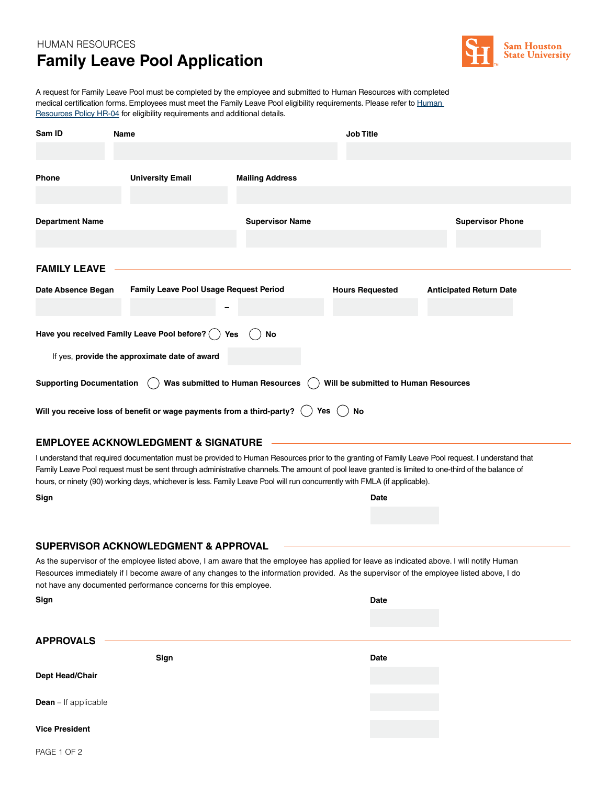## HUMAN RESOURCES **Family Leave Pool Application**



A request for Family Leave Pool must be completed by the employee and submitted to Human Resources with completed medical certification forms. Employees must meet the Family Leave Pool eligibility requirements. Please refer to Human [Resources Policy HR-04](https://www.shsu.edu/intranet/policies/finop/human_resources/documents/HR-04+Employee+Leaves.pdf) for eligibility requirements and additional details.

| Sam ID                                                                                                      | Name                                          |                        | <b>Job Title</b>       |                                |  |  |  |  |  |
|-------------------------------------------------------------------------------------------------------------|-----------------------------------------------|------------------------|------------------------|--------------------------------|--|--|--|--|--|
|                                                                                                             |                                               |                        |                        |                                |  |  |  |  |  |
| <b>Phone</b>                                                                                                | <b>University Email</b>                       | <b>Mailing Address</b> |                        |                                |  |  |  |  |  |
| <b>Department Name</b>                                                                                      |                                               | <b>Supervisor Name</b> |                        | <b>Supervisor Phone</b>        |  |  |  |  |  |
| <b>FAMILY LEAVE</b>                                                                                         |                                               |                        |                        |                                |  |  |  |  |  |
| Date Absence Began                                                                                          | <b>Family Leave Pool Usage Request Period</b> |                        | <b>Hours Requested</b> | <b>Anticipated Return Date</b> |  |  |  |  |  |
|                                                                                                             |                                               |                        |                        |                                |  |  |  |  |  |
| Have you received Family Leave Pool before? $( )$<br>No<br>Yes                                              |                                               |                        |                        |                                |  |  |  |  |  |
| If yes, provide the approximate date of award                                                               |                                               |                        |                        |                                |  |  |  |  |  |
| Was submitted to Human Resources<br><b>Supporting Documentation</b><br>Will be submitted to Human Resources |                                               |                        |                        |                                |  |  |  |  |  |
| Will you receive loss of benefit or wage payments from a third-party? $($ $)$<br>Yes $($ $)$<br>No          |                                               |                        |                        |                                |  |  |  |  |  |
| <b>EMPLOYEE ACKNOWLEDGMENT &amp; SIGNATURE</b>                                                              |                                               |                        |                        |                                |  |  |  |  |  |

I understand that required documentation must be provided to Human Resources prior to the granting of Family Leave Pool request. I understand that Family Leave Pool request must be sent through administrative channels. The amount of pool leave granted is limited to one-third of the balance of hours, or ninety (90) working days, whichever is less. Family Leave Pool will run concurrently with FMLA (if applicable).

**Date**

## **SUPERVISOR ACKNOWLEDGMENT & APPROVAL**

As the supervisor of the employee listed above, I am aware that the employee has applied for leave as indicated above. I will notify Human Resources immediately if I become aware of any changes to the information provided. As the supervisor of the employee listed above, I do not have any documented performance concerns for this employee.

| Sign                        |      | <b>Date</b> |  |
|-----------------------------|------|-------------|--|
|                             |      |             |  |
| <b>APPROVALS</b>            |      |             |  |
| <b>Dept Head/Chair</b>      | Sign | Date        |  |
|                             |      |             |  |
| <b>Dean</b> – If applicable |      |             |  |
| <b>Vice President</b>       |      |             |  |
|                             |      |             |  |